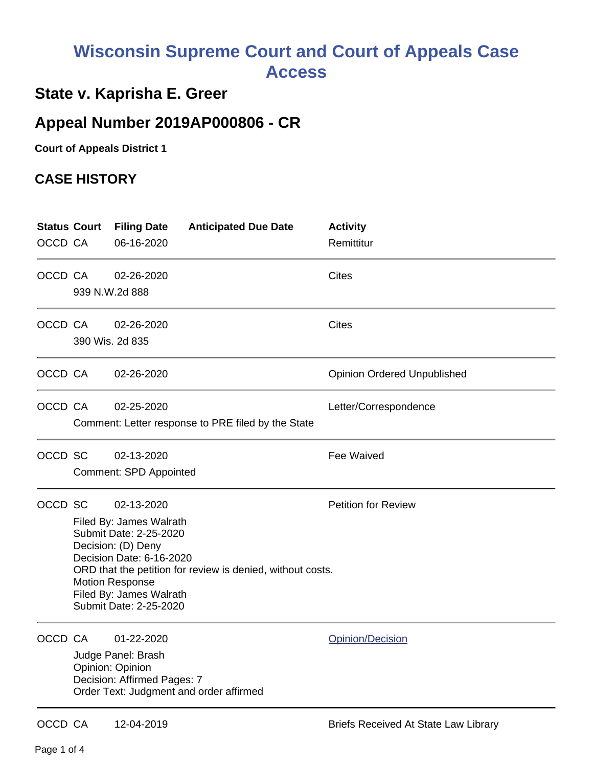## **Wisconsin Supreme Court and Court of Appeals Case Access**

## **State v. Kaprisha E. Greer**

## **Appeal Number 2019AP000806 - CR**

**Court of Appeals District 1**

## **CASE HISTORY**

| OCCD CA | <b>Status Court</b>                                                                                                                                                                                                                                                                          | <b>Filing Date</b><br>06-16-2020                                                    | <b>Anticipated Due Date</b>                        | <b>Activity</b><br>Remittitur               |
|---------|----------------------------------------------------------------------------------------------------------------------------------------------------------------------------------------------------------------------------------------------------------------------------------------------|-------------------------------------------------------------------------------------|----------------------------------------------------|---------------------------------------------|
| OCCD CA |                                                                                                                                                                                                                                                                                              | 02-26-2020<br>939 N.W.2d 888                                                        |                                                    | Cites                                       |
| OCCD CA |                                                                                                                                                                                                                                                                                              | 02-26-2020<br>390 Wis. 2d 835                                                       |                                                    | Cites                                       |
| OCCD CA |                                                                                                                                                                                                                                                                                              | 02-26-2020                                                                          |                                                    | <b>Opinion Ordered Unpublished</b>          |
| OCCD CA |                                                                                                                                                                                                                                                                                              | 02-25-2020                                                                          | Comment: Letter response to PRE filed by the State | Letter/Correspondence                       |
| OCCD SC |                                                                                                                                                                                                                                                                                              | 02-13-2020<br><b>Comment: SPD Appointed</b>                                         |                                                    | Fee Waived                                  |
| OCCD SC | <b>Petition for Review</b><br>02-13-2020<br>Filed By: James Walrath<br>Submit Date: 2-25-2020<br>Decision: (D) Deny<br>Decision Date: 6-16-2020<br>ORD that the petition for review is denied, without costs.<br><b>Motion Response</b><br>Filed By: James Walrath<br>Submit Date: 2-25-2020 |                                                                                     |                                                    |                                             |
| OCCD CA |                                                                                                                                                                                                                                                                                              | 01-22-2020<br>Judge Panel: Brash<br>Opinion: Opinion<br>Decision: Affirmed Pages: 7 | Order Text: Judgment and order affirmed            | Opinion/Decision                            |
| OCCD CA |                                                                                                                                                                                                                                                                                              | 12-04-2019                                                                          |                                                    | <b>Briefs Received At State Law Library</b> |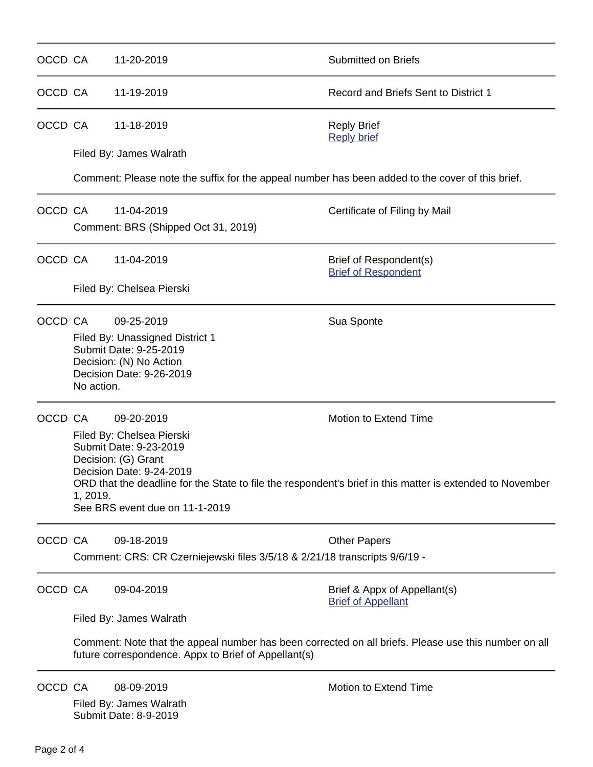| OCCD CA |                                                                                                                                                                                                                                                                                                          | 11-20-2019                                                                                                                     | <b>Submitted on Briefs</b>                                |  |  |  |
|---------|----------------------------------------------------------------------------------------------------------------------------------------------------------------------------------------------------------------------------------------------------------------------------------------------------------|--------------------------------------------------------------------------------------------------------------------------------|-----------------------------------------------------------|--|--|--|
| OCCD CA |                                                                                                                                                                                                                                                                                                          | 11-19-2019                                                                                                                     | Record and Briefs Sent to District 1                      |  |  |  |
| OCCD CA | 11-18-2019                                                                                                                                                                                                                                                                                               |                                                                                                                                | <b>Reply Brief</b><br><b>Reply brief</b>                  |  |  |  |
|         | Filed By: James Walrath                                                                                                                                                                                                                                                                                  |                                                                                                                                |                                                           |  |  |  |
|         |                                                                                                                                                                                                                                                                                                          | Comment: Please note the suffix for the appeal number has been added to the cover of this brief.                               |                                                           |  |  |  |
| OCCD CA |                                                                                                                                                                                                                                                                                                          | 11-04-2019<br>Comment: BRS (Shipped Oct 31, 2019)                                                                              | Certificate of Filing by Mail                             |  |  |  |
| OCCD CA |                                                                                                                                                                                                                                                                                                          | 11-04-2019                                                                                                                     | Brief of Respondent(s)<br><b>Brief of Respondent</b>      |  |  |  |
|         |                                                                                                                                                                                                                                                                                                          | Filed By: Chelsea Pierski                                                                                                      |                                                           |  |  |  |
| OCCD CA | No action.                                                                                                                                                                                                                                                                                               | 09-25-2019<br>Filed By: Unassigned District 1<br>Submit Date: 9-25-2019<br>Decision: (N) No Action<br>Decision Date: 9-26-2019 | Sua Sponte                                                |  |  |  |
| OCCD CA | Motion to Extend Time<br>09-20-2019<br>Filed By: Chelsea Pierski<br>Submit Date: 9-23-2019<br>Decision: (G) Grant<br>Decision Date: 9-24-2019<br>ORD that the deadline for the State to file the respondent's brief in this matter is extended to November<br>1, 2019.<br>See BRS event due on 11-1-2019 |                                                                                                                                |                                                           |  |  |  |
| OCCD CA |                                                                                                                                                                                                                                                                                                          | 09-18-2019<br>Comment: CRS: CR Czerniejewski files 3/5/18 & 2/21/18 transcripts 9/6/19 -                                       | <b>Other Papers</b>                                       |  |  |  |
| OCCD CA |                                                                                                                                                                                                                                                                                                          | 09-04-2019                                                                                                                     | Brief & Appx of Appellant(s)<br><b>Brief of Appellant</b> |  |  |  |
|         |                                                                                                                                                                                                                                                                                                          | Filed By: James Walrath                                                                                                        |                                                           |  |  |  |
|         | Comment: Note that the appeal number has been corrected on all briefs. Please use this number on all<br>future correspondence. Appx to Brief of Appellant(s)                                                                                                                                             |                                                                                                                                |                                                           |  |  |  |
| OCCD CA |                                                                                                                                                                                                                                                                                                          | 08-09-2019<br>Filed By: James Walrath                                                                                          | <b>Motion to Extend Time</b>                              |  |  |  |

Submit Date: 8-9-2019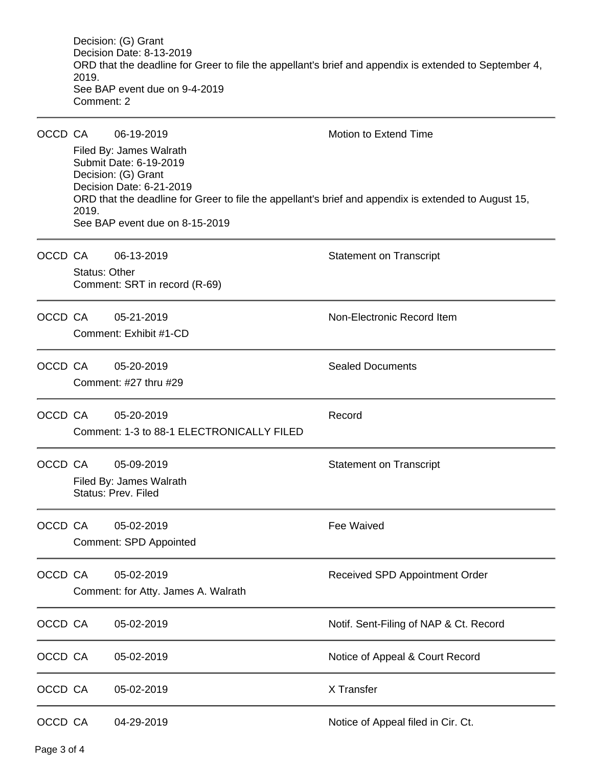Decision: (G) Grant Decision Date: 8-13-2019 ORD that the deadline for Greer to file the appellant's brief and appendix is extended to September 4, 2019. See BAP event due on 9-4-2019 Comment: 2

| OCCD CA |                                                                                                                                                                                                                       | 06-19-2019                                                   | Motion to Extend Time                  |  |  |  |  |
|---------|-----------------------------------------------------------------------------------------------------------------------------------------------------------------------------------------------------------------------|--------------------------------------------------------------|----------------------------------------|--|--|--|--|
|         | Filed By: James Walrath<br>Submit Date: 6-19-2019<br>Decision: (G) Grant<br>Decision Date: 6-21-2019<br>ORD that the deadline for Greer to file the appellant's brief and appendix is extended to August 15,<br>2019. |                                                              |                                        |  |  |  |  |
|         | See BAP event due on 8-15-2019                                                                                                                                                                                        |                                                              |                                        |  |  |  |  |
| OCCD CA | <b>Status: Other</b>                                                                                                                                                                                                  | 06-13-2019                                                   | <b>Statement on Transcript</b>         |  |  |  |  |
|         |                                                                                                                                                                                                                       | Comment: SRT in record (R-69)                                |                                        |  |  |  |  |
| OCCD CA |                                                                                                                                                                                                                       | 05-21-2019<br>Comment: Exhibit #1-CD                         | Non-Electronic Record Item             |  |  |  |  |
| OCCD CA |                                                                                                                                                                                                                       | 05-20-2019<br>Comment: #27 thru #29                          | <b>Sealed Documents</b>                |  |  |  |  |
| OCCD CA |                                                                                                                                                                                                                       | 05-20-2019<br>Comment: 1-3 to 88-1 ELECTRONICALLY FILED      | Record                                 |  |  |  |  |
| OCCD CA |                                                                                                                                                                                                                       | 05-09-2019<br>Filed By: James Walrath<br>Status: Prev. Filed | <b>Statement on Transcript</b>         |  |  |  |  |
| OCCD CA |                                                                                                                                                                                                                       | 05-02-2019<br><b>Comment: SPD Appointed</b>                  | Fee Waived                             |  |  |  |  |
| OCCD CA |                                                                                                                                                                                                                       | 05-02-2019<br>Comment: for Atty. James A. Walrath            | Received SPD Appointment Order         |  |  |  |  |
| OCCD CA |                                                                                                                                                                                                                       | 05-02-2019                                                   | Notif. Sent-Filing of NAP & Ct. Record |  |  |  |  |
| OCCD CA |                                                                                                                                                                                                                       | 05-02-2019                                                   | Notice of Appeal & Court Record        |  |  |  |  |
| OCCD CA |                                                                                                                                                                                                                       | 05-02-2019                                                   | X Transfer                             |  |  |  |  |
| OCCD CA |                                                                                                                                                                                                                       | 04-29-2019                                                   | Notice of Appeal filed in Cir. Ct.     |  |  |  |  |

Page 3 of 4